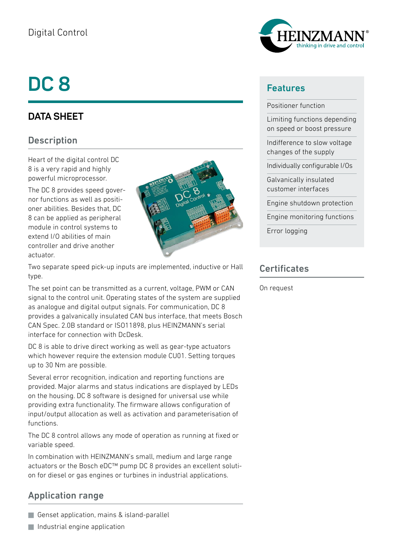## Digital Control

# **DC 8**

## **DATA SHEET**

#### **Description**

Heart of the digital control DC 8 is a very rapid and highly powerful microprocessor.

The DC 8 provides speed governor functions as well as positioner abilities. Besides that, DC 8 can be applied as peripheral module in control systems to extend I/O abilities of main controller and drive another actuator.



Two separate speed pick-up inputs are implemented, inductive or Hall type.

The set point can be transmitted as a current, voltage, PWM or CAN signal to the control unit. Operating states of the system are supplied as analogue and digital output signals. For communication, DC 8 provides a galvanically insulated CAN bus interface, that meets Bosch CAN Spec. 2.0B standard or ISO11898, plus HEINZMANN's serial interface for connection with DcDesk.

DC 8 is able to drive direct working as well as gear-type actuators which however require the extension module CU01. Setting torques up to 30 Nm are possible.

Several error recognition, indication and reporting functions are provided. Major alarms and status indications are displayed by LEDs on the housing. DC 8 software is designed for universal use while providing extra functionality. The firmware allows configuration of input/output allocation as well as activation and parameterisation of functions.

The DC 8 control allows any mode of operation as running at fixed or variable speed.

In combination with HEINZMANN's small, medium and large range actuators or the Bosch eDC™ pump DC 8 provides an excellent solution for diesel or gas engines or turbines in industrial applications.

### Application range

Genset application, mains & island-parallel





#### Features

Positioner function

Limiting functions depending on speed or boost pressure

Indifference to slow voltage changes of the supply

Individually configurable I/Os

Galvanically insulated customer interfaces

Engine shutdown protection

Engine monitoring functions

Error logging

#### **Certificates**

On request